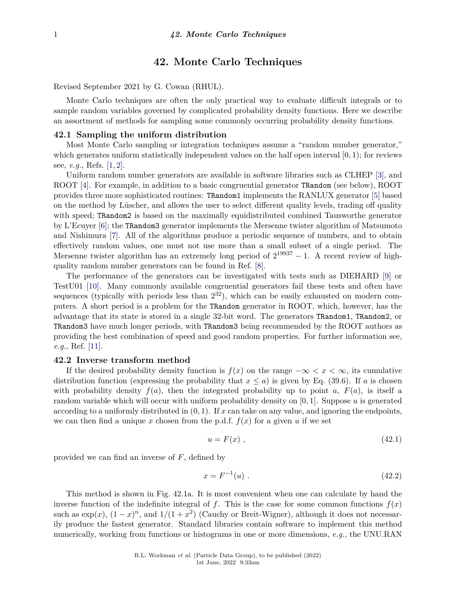# **42. Monte Carlo Techniques**

Revised September 2021 by G. Cowan (RHUL).

Monte Carlo techniques are often the only practical way to evaluate difficult integrals or to sample random variables governed by complicated probability density functions. Here we describe an assortment of methods for sampling some commonly occurring probability density functions.

# **42.1 Sampling the uniform distribution**

Most Monte Carlo sampling or integration techniques assume a "random number generator," which generates uniform statistically independent values on the half open interval [0*,* 1); for reviews see, *e.g.*, Refs. [\[1,](#page-7-0) [2\]](#page-7-1).

Uniform random number generators are available in software libraries such as CLHEP [\[3\]](#page-7-2), and ROOT [\[4\]](#page-7-3). For example, in addition to a basic congruential generator TRandom (see below), ROOT provides three more sophisticated routines: TRandom1 implements the RANLUX generator [\[5\]](#page-7-4) based on the method by Lüscher, and allows the user to select different quality levels, trading off quality with speed; TRandom2 is based on the maximally equidistributed combined Tausworthe generator by L'Ecuyer [\[6\]](#page-7-5); the TRandom3 generator implements the Mersenne twister algorithm of Matsumoto and Nishimura [\[7\]](#page-7-6). All of the algorithms produce a periodic sequence of numbers, and to obtain effectively random values, one must not use more than a small subset of a single period. The Mersenne twister algorithm has an extremely long period of  $2^{19937} - 1$ . A recent review of highquality random number generators can be found in Ref. [\[8\]](#page-7-7).

The performance of the generators can be investigated with tests such as DIEHARD [\[9\]](#page-8-0) or TestU01 [\[10\]](#page-8-1). Many commonly available congruential generators fail these tests and often have sequences (typically with periods less than  $2^{32}$ ), which can be easily exhausted on modern computers. A short period is a problem for the TRandom generator in ROOT, which, however, has the advantage that its state is stored in a single 32-bit word. The generators TRandom1, TRandom2, or TRandom3 have much longer periods, with TRandom3 being recommended by the ROOT authors as providing the best combination of speed and good random properties. For further information see, *e.g.*, Ref. [\[11\]](#page-8-2).

# **42.2 Inverse transform method**

If the desired probability density function is  $f(x)$  on the range  $-\infty < x < \infty$ , its cumulative distribution function (expressing the probability that  $x \le a$ ) is given by Eq. (39.6). If *a* is chosen with probability density  $f(a)$ , then the integrated probability up to point *a*,  $F(a)$ , is itself a random variable which will occur with uniform probability density on [0*,* 1]. Suppose *u* is generated according to a uniformly distributed in  $(0, 1)$ . If  $x$  can take on any value, and ignoring the endpoints, we can then find a unique x chosen from the p.d.f.  $f(x)$  for a given u if we set

$$
u = F(x) \tag{42.1}
$$

provided we can find an inverse of *F*, defined by

$$
x = F^{-1}(u) \tag{42.2}
$$

This method is shown in Fig. 42.1a. It is most convenient when one can calculate by hand the inverse function of the indefinite integral of f. This is the case for some common functions  $f(x)$ such as  $\exp(x)$ ,  $(1-x)^n$ , and  $1/(1+x^2)$  (Cauchy or Breit-Wigner), although it does not necessarily produce the fastest generator. Standard libraries contain software to implement this method numerically, working from functions or histograms in one or more dimensions, *e.g.*, the UNU.RAN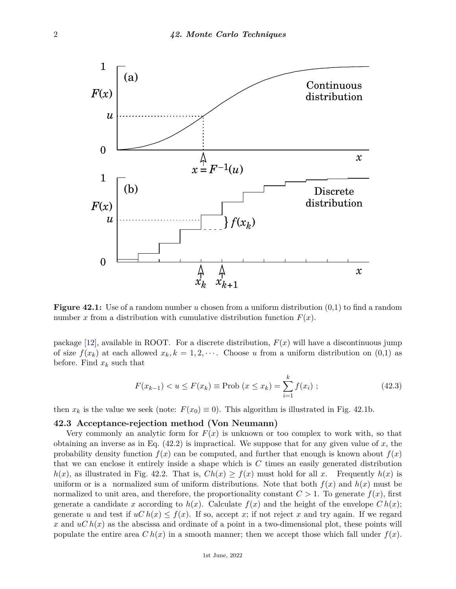

**Figure 42.1:** Use of a random number *u* chosen from a uniform distribution  $(0,1)$  to find a random number *x* from a distribution with cumulative distribution function  $F(x)$ .

package [\[12\]](#page-8-3), available in ROOT. For a discrete distribution,  $F(x)$  will have a discontinuous jump of size  $f(x_k)$  at each allowed  $x_k, k = 1, 2, \cdots$ . Choose *u* from a uniform distribution on (0,1) as before. Find  $x_k$  such that

$$
F(x_{k-1}) < u \le F(x_k) \equiv \text{Prob}\left(x \le x_k\right) = \sum_{i=1}^k f(x_i) \; ; \tag{42.3}
$$

then  $x_k$  is the value we seek (note:  $F(x_0) \equiv 0$ ). This algorithm is illustrated in Fig. 42.1b.

# **42.3 Acceptance-rejection method (Von Neumann)**

Very commonly an analytic form for  $F(x)$  is unknown or too complex to work with, so that obtaining an inverse as in Eq. (42.2) is impractical. We suppose that for any given value of *x*, the probability density function  $f(x)$  can be computed, and further that enough is known about  $f(x)$ that we can enclose it entirely inside a shape which is *C* times an easily generated distribution  $h(x)$ , as illustrated in Fig. 42.2. That is,  $Ch(x) \ge f(x)$  must hold for all *x*. Frequently  $h(x)$  is uniform or is a normalized sum of uniform distributions. Note that both  $f(x)$  and  $h(x)$  must be normalized to unit area, and therefore, the proportionality constant  $C > 1$ . To generate  $f(x)$ , first generate a candidate *x* according to  $h(x)$ . Calculate  $f(x)$  and the height of the envelope  $C h(x)$ ; generate *u* and test if  $uC h(x) \leq f(x)$ . If so, accept *x*; if not reject *x* and try again. If we regard x and  $uC h(x)$  as the abscissa and ordinate of a point in a two-dimensional plot, these points will populate the entire area  $C h(x)$  in a smooth manner; then we accept those which fall under  $f(x)$ .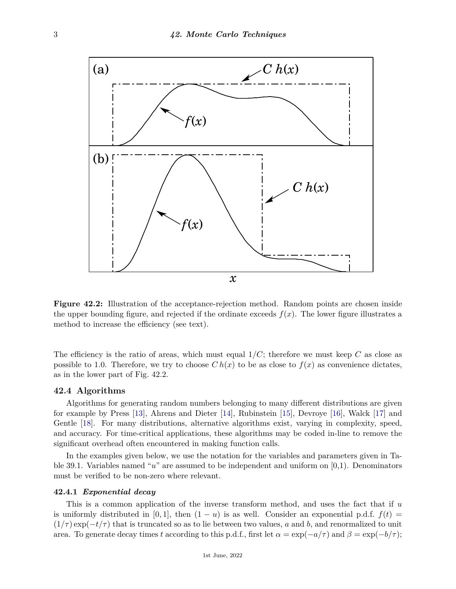

**Figure 42.2:** Illustration of the acceptance-rejection method. Random points are chosen inside the upper bounding figure, and rejected if the ordinate exceeds  $f(x)$ . The lower figure illustrates a method to increase the efficiency (see text).

The efficiency is the ratio of areas, which must equal 1*/C*; therefore we must keep *C* as close as possible to 1.0. Therefore, we try to choose  $C h(x)$  to be as close to  $f(x)$  as convenience dictates, as in the lower part of Fig. 42.2.

#### **42.4 Algorithms**

Algorithms for generating random numbers belonging to many different distributions are given for example by Press [\[13\]](#page-8-4), Ahrens and Dieter [\[14\]](#page-8-5), Rubinstein [\[15\]](#page-8-6), Devroye [\[16\]](#page-8-7), Walck [\[17\]](#page-8-8) and Gentle [\[18\]](#page-8-9). For many distributions, alternative algorithms exist, varying in complexity, speed, and accuracy. For time-critical applications, these algorithms may be coded in-line to remove the significant overhead often encountered in making function calls.

In the examples given below, we use the notation for the variables and parameters given in Table 39.1. Variables named "*u*" are assumed to be independent and uniform on [0,1). Denominators must be verified to be non-zero where relevant.

## **42.4.1** *Exponential decay*

This is a common application of the inverse transform method, and uses the fact that if *u* is uniformly distributed in [0,1], then  $(1 - u)$  is as well. Consider an exponential p.d.f.  $f(t) =$  $(1/\tau) \exp(-t/\tau)$  that is truncated so as to lie between two values, *a* and *b*, and renormalized to unit area. To generate decay times *t* according to this p.d.f., first let  $\alpha = \exp(-a/\tau)$  and  $\beta = \exp(-b/\tau)$ ;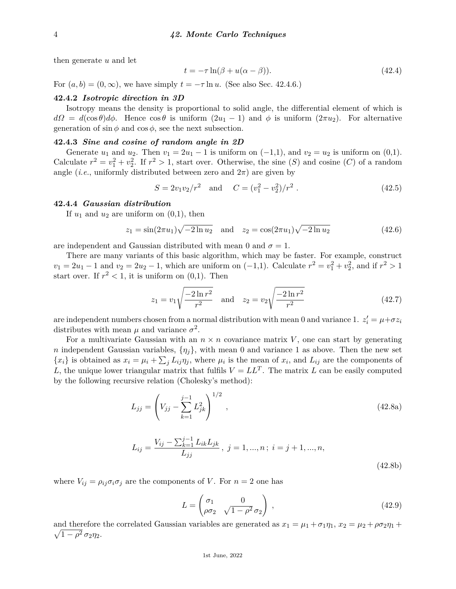then generate *u* and let

$$
t = -\tau \ln(\beta + u(\alpha - \beta)).\tag{42.4}
$$

For  $(a, b) = (0, \infty)$ , we have simply  $t = -\tau \ln u$ . (See also Sec. 42.4.6.)

## **42.4.2** *Isotropic direction in 3D*

Isotropy means the density is proportional to solid angle, the differential element of which is  $d\Omega = d(\cos \theta) d\phi$ . Hence  $\cos \theta$  is uniform  $(2u_1 - 1)$  and  $\phi$  is uniform  $(2\pi u_2)$ . For alternative generation of  $\sin \phi$  and  $\cos \phi$ , see the next subsection.

## **42.4.3** *Sine and cosine of random angle in 2D*

Generate  $u_1$  and  $u_2$ . Then  $v_1 = 2u_1 - 1$  is uniform on  $(-1,1)$ , and  $v_2 = u_2$  is uniform on  $(0,1)$ . Calculate  $r^2 = v_1^2 + v_2^2$ . If  $r^2 > 1$ , start over. Otherwise, the sine (*S*) and cosine (*C*) of a random angle (*i.e.*, uniformly distributed between zero and  $2\pi$ ) are given by

$$
S = 2v_1v_2/r^2 \quad \text{and} \quad C = (v_1^2 - v_2^2)/r^2 \ . \tag{42.5}
$$

#### **42.4.4** *Gaussian distribution*

If  $u_1$  and  $u_2$  are uniform on  $(0,1)$ , then

$$
z_1 = \sin(2\pi u_1)\sqrt{-2\ln u_2} \quad \text{and} \quad z_2 = \cos(2\pi u_1)\sqrt{-2\ln u_2} \tag{42.6}
$$

are independent and Gaussian distributed with mean 0 and  $\sigma = 1$ .

There are many variants of this basic algorithm, which may be faster. For example, construct  $v_1 = 2u_1 - 1$  and  $v_2 = 2u_2 - 1$ , which are uniform on  $(-1,1)$ . Calculate  $r^2 = v_1^2 + v_2^2$ , and if  $r^2 > 1$ start over. If  $r^2 < 1$ , it is uniform on  $(0,1)$ . Then

$$
z_1 = v_1 \sqrt{\frac{-2\ln r^2}{r^2}} \quad \text{and} \quad z_2 = v_2 \sqrt{\frac{-2\ln r^2}{r^2}} \tag{42.7}
$$

are independent numbers chosen from a normal distribution with mean 0 and variance 1.  $z_i' = \mu + \sigma z_i$ distributes with mean  $\mu$  and variance  $\sigma^2$ .

For a multivariate Gaussian with an  $n \times n$  covariance matrix V, one can start by generating *n* independent Gaussian variables,  $\{\eta_i\}$ , with mean 0 and variance 1 as above. Then the new set  ${x_i}$  is obtained as  $x_i = \mu_i + \sum_j L_{ij} \eta_j$ , where  $\mu_i$  is the mean of  $x_i$ , and  $L_{ij}$  are the components of *L*, the unique lower triangular matrix that fulfils  $V = LL^T$ . The matrix *L* can be easily computed by the following recursive relation (Cholesky's method):

$$
L_{jj} = \left(V_{jj} - \sum_{k=1}^{j-1} L_{jk}^2\right)^{1/2},\tag{42.8a}
$$

$$
L_{ij} = \frac{V_{ij} - \sum_{k=1}^{j-1} L_{ik} L_{jk}}{L_{jj}}, \ j = 1, ..., n; \ i = j + 1, ..., n,
$$
\n(42.8b)

where  $V_{ij} = \rho_{ij}\sigma_i\sigma_j$  are the components of *V*. For  $n = 2$  one has

$$
L = \begin{pmatrix} \sigma_1 & 0 \\ \rho \sigma_2 & \sqrt{1 - \rho^2} \sigma_2 \end{pmatrix} , \qquad (42.9)
$$

and therefore the correlated Gaussian variables are generated as  $x_1 = \mu_1 + \sigma_1 \eta_1$ ,  $x_2 = \mu_2 + \rho \sigma_2 \eta_1 + \rho \sigma_2 \eta_2$  $\sqrt{1-\rho^2} \sigma_2 \eta_2$ .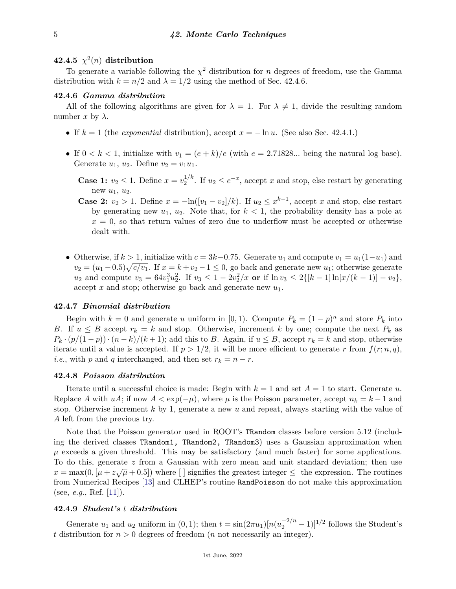# $42.4.5 \chi^2(n)$  distribution

To generate a variable following the  $\chi^2$  distribution for *n* degrees of freedom, use the Gamma distribution with  $k = n/2$  and  $\lambda = 1/2$  using the method of Sec. 42.4.6.

### **42.4.6** *Gamma distribution*

All of the following algorithms are given for  $\lambda = 1$ . For  $\lambda \neq 1$ , divide the resulting random number  $x$  by  $\lambda$ .

- If *k* = 1 (the *exponential* distribution), accept *x* = − ln *u*. (See also Sec. 42.4.1.)
- If  $0 < k < 1$ , initialize with  $v_1 = (e + k)/e$  (with  $e = 2.71828...$  being the natural log base). Generate  $u_1, u_2$ . Define  $v_2 = v_1 u_1$ .

**Case 1:**  $v_2 \leq 1$ . Define  $x = v_2^{1/k}$  $2^{1/k}$ . If  $u_2 \le e^{-x}$ , accept *x* and stop, else restart by generating new  $u_1, u_2$ .

- **Case 2:**  $v_2 > 1$ . Define  $x = -\ln([v_1 v_2]/k)$ . If  $u_2 \leq x^{k-1}$ , accept x and stop, else restart by generating new  $u_1, u_2$ . Note that, for  $k < 1$ , the probability density has a pole at  $x = 0$ , so that return values of zero due to underflow must be accepted or otherwise dealt with.
- Otherwise, if  $k > 1$ , initialize with  $c = 3k-0.75$ . Generate  $u_1$  and compute  $v_1 = u_1(1-u_1)$  and  $v_2 = (u_1 - 0.5)\sqrt{c/v_1}$ . If  $x = k + v_2 - 1 \le 0$ , go back and generate new  $u_1$ ; otherwise generate  $u_2$  and compute  $v_3 = 64v_1^3u_2^2$ . If  $v_3 \leq 1 - 2v_2^2/x$  or if  $\ln v_3 \leq 2\{[k-1]\ln[x/(k-1)] - v_2\},$ accept *x* and stop; otherwise go back and generate new *u*1.

## **42.4.7** *Binomial distribution*

Begin with  $k = 0$  and generate *u* uniform in [0, 1). Compute  $P_k = (1 - p)^n$  and store  $P_k$  into *B*. If  $u \leq B$  accept  $r_k = k$  and stop. Otherwise, increment *k* by one; compute the next  $P_k$  as  $P_k \cdot (p/(1-p)) \cdot (n-k)/(k+1)$ ; add this to *B*. Again, if  $u \leq B$ , accept  $r_k = k$  and stop, otherwise iterate until a value is accepted. If  $p > 1/2$ , it will be more efficient to generate r from  $f(r; n, q)$ , *i.e.*, with *p* and *q* interchanged, and then set  $r_k = n - r$ .

### **42.4.8** *Poisson distribution*

Iterate until a successful choice is made: Begin with  $k = 1$  and set  $A = 1$  to start. Generate  $u$ . Replace *A* with  $uA$ ; if now  $A < \exp(-\mu)$ , where  $\mu$  is the Poisson parameter, accept  $n_k = k - 1$  and stop. Otherwise increment *k* by 1, generate a new *u* and repeat, always starting with the value of *A* left from the previous try.

Note that the Poisson generator used in ROOT's TRandom classes before version 5.12 (including the derived classes TRandom1, TRandom2, TRandom3) uses a Gaussian approximation when  $\mu$  exceeds a given threshold. This may be satisfactory (and much faster) for some applications. To do this, generate *z* from a Gaussian with zero mean and unit standard deviation; then use  $x = \max(0, [\mu + z\sqrt{\mu} + 0.5])$  where [ ] signifies the greatest integer  $\leq$  the expression. The routines from Numerical Recipes [\[13\]](#page-8-4) and CLHEP's routine RandPoisson do not make this approximation (see, *e.g.*, Ref. [\[11\]](#page-8-2)).

# **42.4.9** *Student's t distribution*

Generate  $u_1$  and  $u_2$  uniform in  $(0, 1)$ ; then  $t = \sin(2\pi u_1)[n(u_2^{-2/n} - 1)]^{1/2}$  follows the Student's *t* distribution for *n >* 0 degrees of freedom (*n* not necessarily an integer).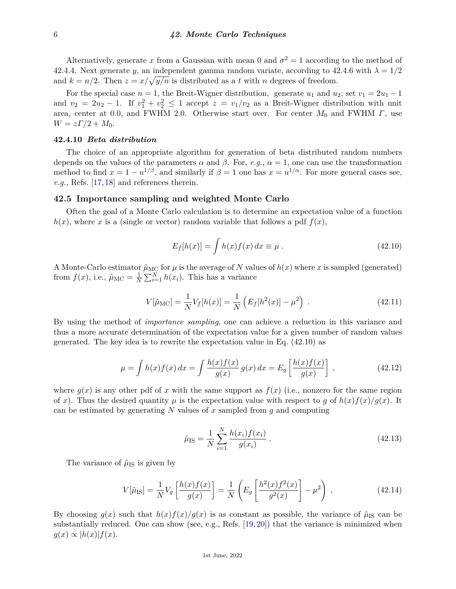Alternatively, generate x from a Gaussian with mean 0 and  $\sigma^2 = 1$  according to the method of 42.4.4. Next generate *y*, an independent gamma random variate, according to 42.4.6 with  $\lambda = 1/2$ and  $k = n/2$ . Then  $z = x/\sqrt{y/n}$  is distributed as a *t* with *n* degrees of freedom.

For the special case  $n = 1$ , the Breit-Wigner distribution, generate  $u_1$  and  $u_2$ ; set  $v_1 = 2u_1 - 1$ and  $v_2 = 2u_2 - 1$ . If  $v_1^2 + v_2^2 \le 1$  accept  $z = v_1/v_2$  as a Breit-Wigner distribution with unit area, center at 0.0, and FWHM 2.0. Otherwise start over. For center *M*<sup>0</sup> and FWHM *Γ*, use  $W = zT/2 + M_0$ .

# **42.4.10** *Beta distribution*

The choice of an appropriate algorithm for generation of beta distributed random numbers depends on the values of the parameters  $\alpha$  and  $\beta$ . For, *e.g.*,  $\alpha = 1$ , one can use the transformation method to find  $x = 1 - u^{1/\beta}$ , and similarly if  $\beta = 1$  one has  $x = u^{1/\alpha}$ . For more general cases see, *e.g.*, Refs. [\[17,](#page-8-8) [18\]](#page-8-9) and references therein.

## **42.5 Importance sampling and weighted Monte Carlo**

Often the goal of a Monte Carlo calculation is to determine an expectation value of a function  $h(x)$ , where *x* is a (single or vector) random variable that follows a pdf  $f(x)$ ,

$$
E_f[h(x)] = \int h(x)f(x) dx \equiv \mu.
$$
\n(42.10)

A Monte-Carlo estimator  $\hat{\mu}_{MC}$  for  $\mu$  is the average of N values of  $h(x)$  where x is sampled (generated) from  $f(x)$ , i.e.,  $\hat{\mu}_{MC} = \frac{1}{N}$  $\frac{1}{N} \sum_{i=1}^{N} h(x_i)$ . This has a variance

$$
V[\hat{\mu}_{\text{MC}}] = \frac{1}{N} V_f[h(x)] = \frac{1}{N} \left( E_f[h^2(x)] - \mu^2 \right) \,. \tag{42.11}
$$

By using the method of *importance sampling*, one can achieve a reduction in this variance and thus a more accurate determination of the expectation value for a given number of random values generated. The key idea is to rewrite the expectation value in Eq. (42.10) as

$$
\mu = \int h(x)f(x) dx = \int \frac{h(x)f(x)}{g(x)} g(x) dx = E_g \left[ \frac{h(x)f(x)}{g(x)} \right],
$$
\n(42.12)

where  $g(x)$  is any other pdf of x with the same support as  $f(x)$  (i.e., nonzero for the same region of *x*). Thus the desired quantity  $\mu$  is the expectation value with respect to *g* of  $h(x)f(x)/g(x)$ . It can be estimated by generating *N* values of *x* sampled from *g* and computing

$$
\hat{\mu}_{IS} = \frac{1}{N} \sum_{i=1}^{N} \frac{h(x_i) f(x_i)}{g(x_i)}.
$$
\n(42.13)

The variance of  $\hat{\mu}_{IS}$  is given by

$$
V[\hat{\mu}_{IS}] = \frac{1}{N} V_g \left[ \frac{h(x)f(x)}{g(x)} \right] = \frac{1}{N} \left( E_g \left[ \frac{h^2(x)f^2(x)}{g^2(x)} \right] - \mu^2 \right) , \qquad (42.14)
$$

By choosing  $g(x)$  such that  $h(x)f(x)/g(x)$  is as constant as possible, the variance of  $\hat{\mu}_{IS}$  can be substantially reduced. One can show (see, e.g., Refs. [\[19,](#page-8-10) [20\]](#page-8-11)) that the variance is minimized when  $g(x) \propto |h(x)| f(x).$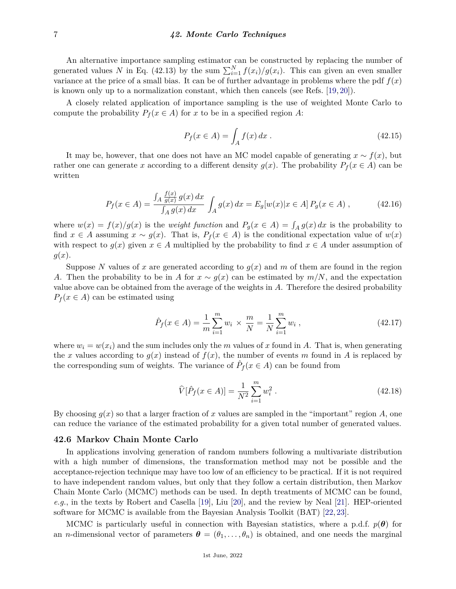An alternative importance sampling estimator can be constructed by replacing the number of generated values *N* in Eq. (42.13) by the sum  $\sum_{i=1}^{N} f(x_i)/g(x_i)$ . This can given an even smaller variance at the price of a small bias. It can be of further advantage in problems where the pdf  $f(x)$ is known only up to a normalization constant, which then cancels (see Refs. [\[19,](#page-8-10) [20\]](#page-8-11)).

A closely related application of importance sampling is the use of weighted Monte Carlo to compute the probability  $P_f(x \in A)$  for *x* to be in a specified region *A*:

$$
P_f(x \in A) = \int_A f(x) \, dx \,. \tag{42.15}
$$

It may be, however, that one does not have an MC model capable of generating  $x \sim f(x)$ , but rather one can generate *x* according to a different density  $g(x)$ . The probability  $P_f(x \in A)$  can be written

$$
P_f(x \in A) = \frac{\int_A \frac{f(x)}{g(x)} g(x) dx}{\int_A g(x) dx} \int_A g(x) dx = E_g[w(x)|x \in A] P_g(x \in A) , \qquad (42.16)
$$

where  $w(x) = f(x)/g(x)$  is the *weight function* and  $P_g(x \in A) = \int_A g(x) dx$  is the probability to find  $x \in A$  assuming  $x \sim g(x)$ . That is,  $P_f(x \in A)$  is the conditional expectation value of  $w(x)$ with respect to  $g(x)$  given  $x \in A$  multiplied by the probability to find  $x \in A$  under assumption of *g*(*x*).

Suppose N values of x are generated according to  $g(x)$  and m of them are found in the region *A*. Then the probability to be in *A* for  $x \sim g(x)$  can be estimated by  $m/N$ , and the expectation value above can be obtained from the average of the weights in *A*. Therefore the desired probability  $P_f(x \in A)$  can be estimated using

$$
\hat{P}_f(x \in A) = \frac{1}{m} \sum_{i=1}^{m} w_i \times \frac{m}{N} = \frac{1}{N} \sum_{i=1}^{m} w_i , \qquad (42.17)
$$

where  $w_i = w(x_i)$  and the sum includes only the *m* values of *x* found in *A*. That is, when generating the *x* values according to  $g(x)$  instead of  $f(x)$ , the number of events *m* found in *A* is replaced by the corresponding sum of weights. The variance of  $\hat{P}_f(x \in A)$  can be found from

$$
\widehat{V}[\widehat{P}_f(x \in A)] = \frac{1}{N^2} \sum_{i=1}^{m} w_i^2.
$$
\n(42.18)

By choosing  $g(x)$  so that a larger fraction of x values are sampled in the "important" region A, one can reduce the variance of the estimated probability for a given total number of generated values.

### **42.6 Markov Chain Monte Carlo**

In applications involving generation of random numbers following a multivariate distribution with a high number of dimensions, the transformation method may not be possible and the acceptance-rejection technique may have too low of an efficiency to be practical. If it is not required to have independent random values, but only that they follow a certain distribution, then Markov Chain Monte Carlo (MCMC) methods can be used. In depth treatments of MCMC can be found, *e.g.*, in the texts by Robert and Casella [\[19\]](#page-8-10), Liu [\[20\]](#page-8-11), and the review by Neal [\[21\]](#page-8-12). HEP-oriented software for MCMC is available from the Bayesian Analysis Toolkit (BAT) [\[22,](#page-8-13) [23\]](#page-8-14).

MCMC is particularly useful in connection with Bayesian statistics, where a p.d.f.  $p(\theta)$  for an *n*-dimensional vector of parameters  $\boldsymbol{\theta} = (\theta_1, \dots, \theta_n)$  is obtained, and one needs the marginal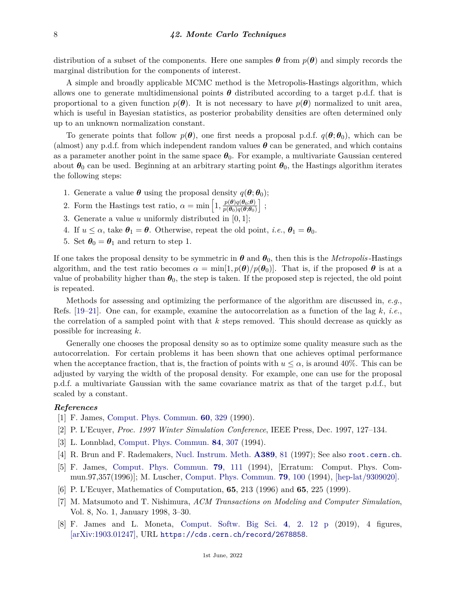distribution of a subset of the components. Here one samples  $\theta$  from  $p(\theta)$  and simply records the marginal distribution for the components of interest.

A simple and broadly applicable MCMC method is the Metropolis-Hastings algorithm, which allows one to generate multidimensional points  $\theta$  distributed according to a target p.d.f. that is proportional to a given function  $p(\theta)$ . It is not necessary to have  $p(\theta)$  normalized to unit area, which is useful in Bayesian statistics, as posterior probability densities are often determined only up to an unknown normalization constant.

To generate points that follow  $p(\theta)$ , one first needs a proposal p.d.f.  $q(\theta; \theta_0)$ , which can be (almost) any p.d.f. from which independent random values  $\theta$  can be generated, and which contains as a parameter another point in the same space  $\theta_0$ . For example, a multivariate Gaussian centered about  $\theta_0$  can be used. Beginning at an arbitrary starting point  $\theta_0$ , the Hastings algorithm iterates the following steps:

- 1. Generate a value  $\theta$  using the proposal density  $q(\theta; \theta_0)$ ;
- 2. Form the Hastings test ratio,  $\alpha = \min \left[1, \frac{p(\theta)q(\theta_0;\theta)}{p(\theta_0)q(\theta_0;\theta)}\right]$  $p(\theta_0)q(\theta;\theta_0)$ i ;
- 3. Generate a value *u* uniformly distributed in [0*,* 1];
- 4. If  $u \leq \alpha$ , take  $\theta_1 = \theta$ . Otherwise, repeat the old point, *i.e.*,  $\theta_1 = \theta_0$ .
- 5. Set  $\theta_0 = \theta_1$  and return to step 1.

If one takes the proposal density to be symmetric in  $\theta$  and  $\theta_0$ , then this is the *Metropolis* -Hastings algorithm, and the test ratio becomes  $\alpha = \min[1, p(\theta)/p(\theta_0)]$ . That is, if the proposed  $\theta$  is at a value of probability higher than  $\theta_0$ , the step is taken. If the proposed step is rejected, the old point is repeated.

Methods for assessing and optimizing the performance of the algorithm are discussed in, *e.g.*, Refs. [\[19–](#page-8-10)[21\]](#page-8-12). One can, for example, examine the autocorrelation as a function of the lag *k*, *i.e.*, the correlation of a sampled point with that *k* steps removed. This should decrease as quickly as possible for increasing *k*.

Generally one chooses the proposal density so as to optimize some quality measure such as the autocorrelation. For certain problems it has been shown that one achieves optimal performance when the acceptance fraction, that is, the fraction of points with  $u \leq \alpha$ , is around 40%. This can be adjusted by varying the width of the proposal density. For example, one can use for the proposal p.d.f. a multivariate Gaussian with the same covariance matrix as that of the target p.d.f., but scaled by a constant.

#### <span id="page-7-0"></span>*References*

- <span id="page-7-1"></span>[1] F. James, [Comput. Phys. Commun.](http://doi.org/10.1016/0010-4655(90)90032-V) **60**[, 329](http://doi.org/10.1016/0010-4655(90)90032-V) (1990).
- [2] P. L'Ecuyer, *Proc. 1997 Winter Simulation Conference*, IEEE Press, Dec. 1997, 127–134.
- <span id="page-7-2"></span>[3] L. Lonnblad, [Comput. Phys. Commun.](http://doi.org/10.1016/0010-4655(94)90217-8) **84**[, 307](http://doi.org/10.1016/0010-4655(94)90217-8) (1994).
- <span id="page-7-3"></span>[4] R. Brun and F. Rademakers, [Nucl. Instrum. Meth.](http://doi.org/10.1016/S0168-9002(97)00048-X) **[A389](http://doi.org/10.1016/S0168-9002(97)00048-X)**, 81 (1997); See also <root.cern.ch>.
- <span id="page-7-4"></span>[5] F. James, [Comput. Phys. Commun.](http://doi.org/10.1016/0010-4655(94)90233-X) **79**[, 111](http://doi.org/10.1016/0010-4655(94)90233-X) (1994), [Erratum: Comput. Phys. Commun.97,357(1996)]; M. Luscher, [Comput. Phys. Commun.](http://doi.org/10.1016/0010-4655(94)90232-1) **79**[, 100](http://doi.org/10.1016/0010-4655(94)90232-1) (1994), [\[hep-lat/9309020\].](https://arxiv.org/abs/hep-lat/9309020)
- <span id="page-7-5"></span>[6] P. L'Ecuyer, Mathematics of Computation, **65**, 213 (1996) and **65**, 225 (1999).
- <span id="page-7-6"></span>[7] M. Matsumoto and T. Nishimura, *ACM Transactions on Modeling and Computer Simulation*, Vol. 8, No. 1, January 1998, 3–30.
- <span id="page-7-7"></span>[8] F. James and L. Moneta, [Comput. Softw. Big Sci.](http://doi.org/10.1007/s41781-019-0034-3) **4**[, 2. 12 p](http://doi.org/10.1007/s41781-019-0034-3) (2019), 4 figures, [\[arXiv:1903.01247\],](https://arxiv.org/abs/1903.01247) URL <https://cds.cern.ch/record/2678858>.